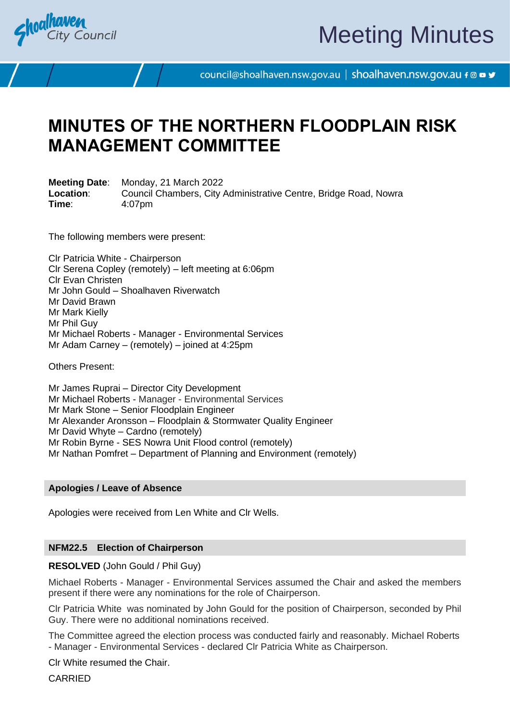

# Meeting Minutes

council@shoalhaven.nsw.gov.au | shoalhaven.nsw.gov.au f @ ■ y

## **MINUTES OF THE NORTHERN FLOODPLAIN RISK MANAGEMENT COMMITTEE**

**Meeting Date**: Monday, 21 March 2022 **Location**: Council Chambers, City Administrative Centre, Bridge Road, Nowra **Time**: 4:07pm

The following members were present:

Clr Patricia White - Chairperson Clr Serena Copley (remotely) – left meeting at 6:06pm Clr Evan Christen Mr John Gould – Shoalhaven Riverwatch Mr David Brawn Mr Mark Kielly Mr Phil Guy Mr Michael Roberts - Manager - Environmental Services Mr Adam Carney – (remotely) – joined at 4:25pm

Others Present:

Mr James Ruprai – Director City Development Mr Michael Roberts - Manager - Environmental Services Mr Mark Stone – Senior Floodplain Engineer Mr Alexander Aronsson – Floodplain & Stormwater Quality Engineer Mr David Whyte – Cardno (remotely) Mr Robin Byrne - SES Nowra Unit Flood control (remotely) Mr Nathan Pomfret – Department of Planning and Environment (remotely)

## **Apologies / Leave of Absence**

Apologies were received from Len White and Clr Wells.

## **NFM22.5 Election of Chairperson**

**RESOLVED** (John Gould / Phil Guy)

Michael Roberts - Manager - Environmental Services assumed the Chair and asked the members present if there were any nominations for the role of Chairperson.

Clr Patricia White was nominated by John Gould for the position of Chairperson, seconded by Phil Guy. There were no additional nominations received.

The Committee agreed the election process was conducted fairly and reasonably. Michael Roberts - Manager - Environmental Services - declared Clr Patricia White as Chairperson.

Clr White resumed the Chair.

CARRIED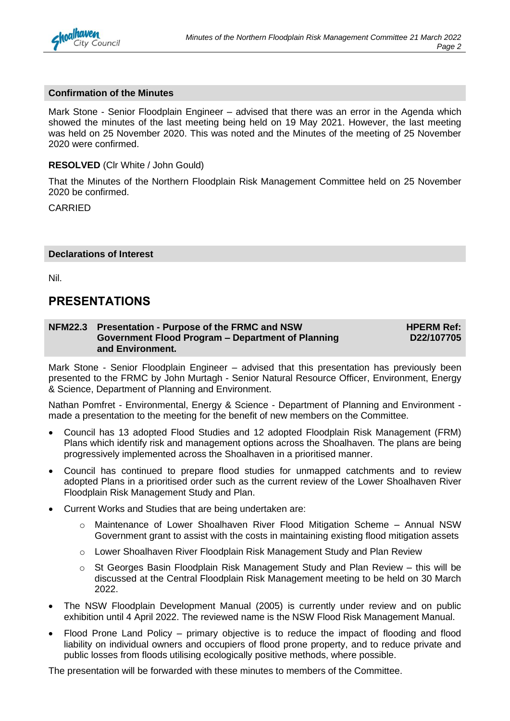

## **Confirmation of the Minutes**

Mark Stone - Senior Floodplain Engineer – advised that there was an error in the Agenda which showed the minutes of the last meeting being held on 19 May 2021. However, the last meeting was held on 25 November 2020. This was noted and the Minutes of the meeting of 25 November 2020 were confirmed.

## **RESOLVED** (Clr White / John Gould)

That the Minutes of the Northern Floodplain Risk Management Committee held on 25 November 2020 be confirmed.

CARRIED

## **Declarations of Interest**

Nil.

## **PRESENTATIONS**

#### **NFM22.3 Presentation - Purpose of the FRMC and NSW Government Flood Program – Department of Planning and Environment. HPERM Ref: D22/107705**

Mark Stone - Senior Floodplain Engineer – advised that this presentation has previously been presented to the FRMC by John Murtagh - Senior Natural Resource Officer, Environment, Energy & Science, Department of Planning and Environment.

Nathan Pomfret - Environmental, Energy & Science - Department of Planning and Environment made a presentation to the meeting for the benefit of new members on the Committee.

- Council has 13 adopted Flood Studies and 12 adopted Floodplain Risk Management (FRM) Plans which identify risk and management options across the Shoalhaven. The plans are being progressively implemented across the Shoalhaven in a prioritised manner.
- Council has continued to prepare flood studies for unmapped catchments and to review adopted Plans in a prioritised order such as the current review of the Lower Shoalhaven River Floodplain Risk Management Study and Plan.
- Current Works and Studies that are being undertaken are:
	- o Maintenance of Lower Shoalhaven River Flood Mitigation Scheme Annual NSW Government grant to assist with the costs in maintaining existing flood mitigation assets
	- o Lower Shoalhaven River Floodplain Risk Management Study and Plan Review
	- $\circ$  St Georges Basin Floodplain Risk Management Study and Plan Review this will be discussed at the Central Floodplain Risk Management meeting to be held on 30 March 2022.
- The NSW Floodplain Development Manual (2005) is currently under review and on public exhibition until 4 April 2022. The reviewed name is the NSW Flood Risk Management Manual.
- Flood Prone Land Policy primary objective is to reduce the impact of flooding and flood liability on individual owners and occupiers of flood prone property, and to reduce private and public losses from floods utilising ecologically positive methods, where possible.

The presentation will be forwarded with these minutes to members of the Committee.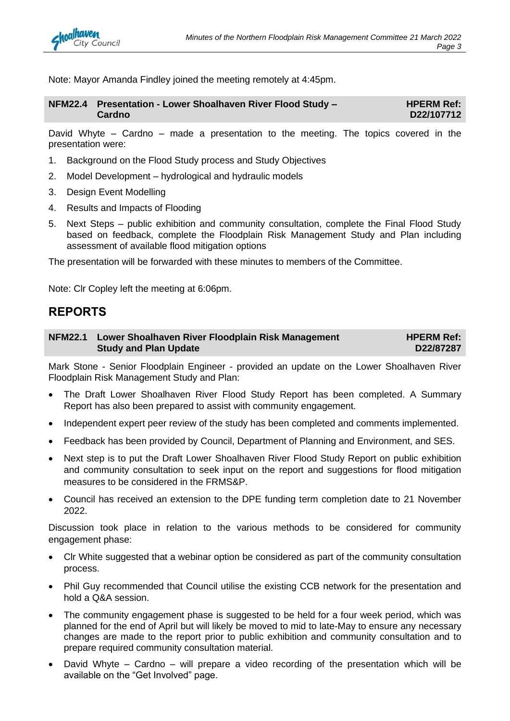

Note: Mayor Amanda Findley joined the meeting remotely at 4:45pm.

| NFM22.4 Presentation - Lower Shoalhaven River Flood Study - | <b>HPERM Ref:</b> |
|-------------------------------------------------------------|-------------------|
| Cardno                                                      | D22/107712        |

David Whyte – Cardno – made a presentation to the meeting. The topics covered in the presentation were:

- 1. Background on the Flood Study process and Study Objectives
- 2. Model Development hydrological and hydraulic models
- 3. Design Event Modelling
- 4. Results and Impacts of Flooding
- 5. Next Steps public exhibition and community consultation, complete the Final Flood Study based on feedback, complete the Floodplain Risk Management Study and Plan including assessment of available flood mitigation options

The presentation will be forwarded with these minutes to members of the Committee.

Note: Clr Copley left the meeting at 6:06pm.

## **REPORTS**

#### **NFM22.1 Lower Shoalhaven River Floodplain Risk Management Study and Plan Update HPERM Ref: D22/87287**

Mark Stone - Senior Floodplain Engineer - provided an update on the Lower Shoalhaven River Floodplain Risk Management Study and Plan:

- The Draft Lower Shoalhaven River Flood Study Report has been completed. A Summary Report has also been prepared to assist with community engagement.
- Independent expert peer review of the study has been completed and comments implemented.
- Feedback has been provided by Council, Department of Planning and Environment, and SES.
- Next step is to put the Draft Lower Shoalhaven River Flood Study Report on public exhibition and community consultation to seek input on the report and suggestions for flood mitigation measures to be considered in the FRMS&P.
- Council has received an extension to the DPE funding term completion date to 21 November 2022.

Discussion took place in relation to the various methods to be considered for community engagement phase:

- Clr White suggested that a webinar option be considered as part of the community consultation process.
- Phil Guy recommended that Council utilise the existing CCB network for the presentation and hold a Q&A session.
- The community engagement phase is suggested to be held for a four week period, which was planned for the end of April but will likely be moved to mid to late-May to ensure any necessary changes are made to the report prior to public exhibition and community consultation and to prepare required community consultation material.
- David Whyte Cardno will prepare a video recording of the presentation which will be available on the "Get Involved" page.